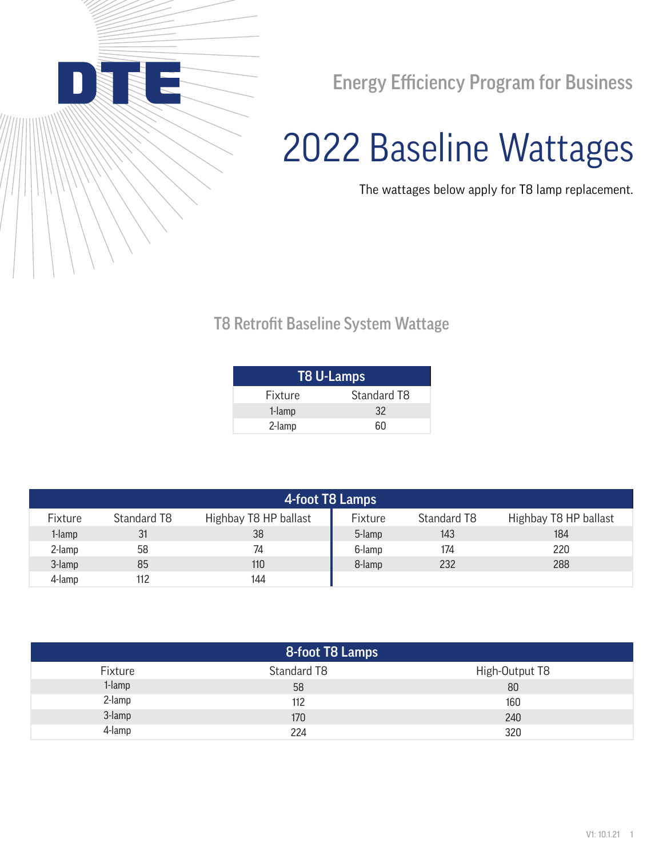

Energy Efficiency Program for Business

## 2022 Baseline Wattages

The wattages below apply for T8 lamp replacement.

## T8 Retrofit Baseline System Wattage

| <b>T8 U-Lamps</b> |             |  |  |  |
|-------------------|-------------|--|--|--|
| <b>Fixture</b>    | Standard T8 |  |  |  |
| 1-lamp            | 32          |  |  |  |
| 2-lamp            | ñΠ          |  |  |  |

| 4-foot T8 Lamps |             |                       |         |             |                       |
|-----------------|-------------|-----------------------|---------|-------------|-----------------------|
| Fixture         | Standard T8 | Highbay T8 HP ballast | Fixture | Standard T8 | Highbay T8 HP ballast |
| 1-lamp          | 31          | 38                    | 5-lamp  | 143         | 184                   |
| 2-lamp          | 58          | 74                    | 6-lamp  | 174         | 220                   |
| 3-lamp          | 85          | 110                   | 8-lamp  | 232         | 288                   |
| 4-lamp          | 112         | 144                   |         |             |                       |

| 8-foot T8 Lamps |             |                |  |  |  |
|-----------------|-------------|----------------|--|--|--|
| Fixture         | Standard T8 | High-Output T8 |  |  |  |
| 1-lamp          | 58          | 80             |  |  |  |
| 2-lamp          | 112         | 160            |  |  |  |
| 3-lamp          | 170         | 240            |  |  |  |
| 4-lamp          | 224         | 320            |  |  |  |